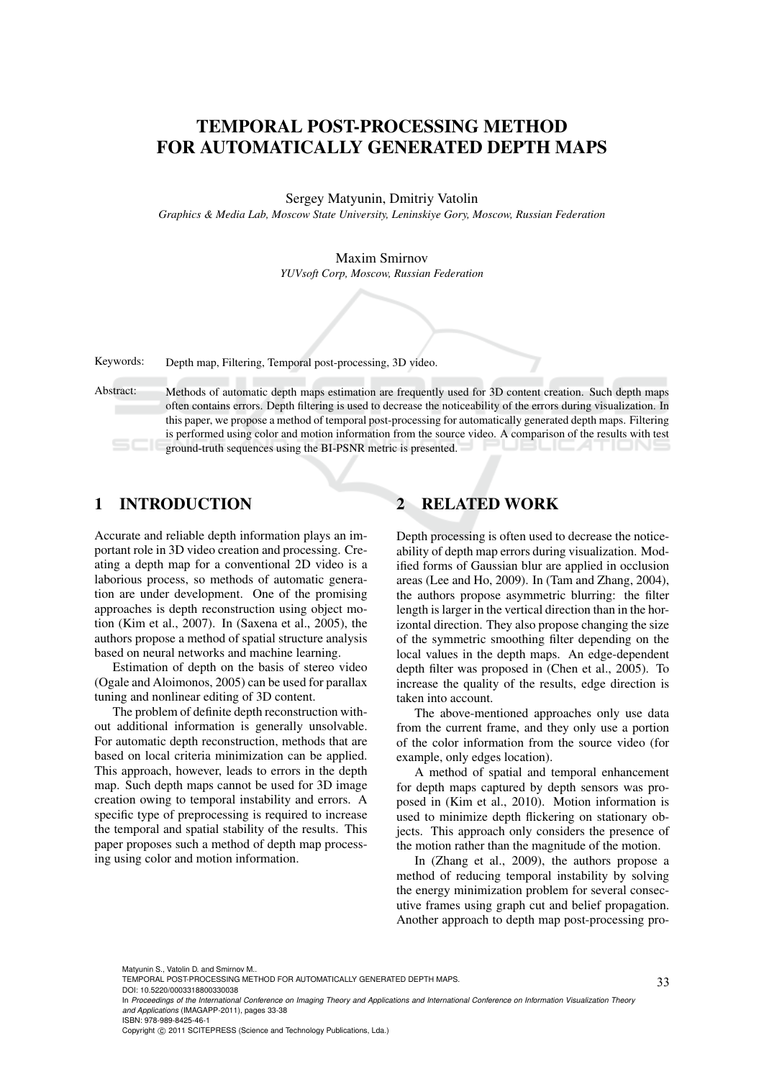# TEMPORAL POST-PROCESSING METHOD FOR AUTOMATICALLY GENERATED DEPTH MAPS

Sergey Matyunin, Dmitriy Vatolin

*Graphics & Media Lab, Moscow State University, Leninskiye Gory, Moscow, Russian Federation*

Maxim Smirnov

*YUVsoft Corp, Moscow, Russian Federation*

Keywords: Depth map, Filtering, Temporal post-processing, 3D video.

Abstract: Methods of automatic depth maps estimation are frequently used for 3D content creation. Such depth maps often contains errors. Depth filtering is used to decrease the noticeability of the errors during visualization. In this paper, we propose a method of temporal post-processing for automatically generated depth maps. Filtering is performed using color and motion information from the source video. A comparison of the results with test ground-truth sequences using the BI-PSNR metric is presented.

## 1 INTRODUCTION

Accurate and reliable depth information plays an important role in 3D video creation and processing. Creating a depth map for a conventional 2D video is a laborious process, so methods of automatic generation are under development. One of the promising approaches is depth reconstruction using object motion (Kim et al., 2007). In (Saxena et al., 2005), the authors propose a method of spatial structure analysis based on neural networks and machine learning.

Estimation of depth on the basis of stereo video (Ogale and Aloimonos, 2005) can be used for parallax tuning and nonlinear editing of 3D content.

The problem of definite depth reconstruction without additional information is generally unsolvable. For automatic depth reconstruction, methods that are based on local criteria minimization can be applied. This approach, however, leads to errors in the depth map. Such depth maps cannot be used for 3D image creation owing to temporal instability and errors. A specific type of preprocessing is required to increase the temporal and spatial stability of the results. This paper proposes such a method of depth map processing using color and motion information.

## 2 RELATED WORK

Depth processing is often used to decrease the noticeability of depth map errors during visualization. Modified forms of Gaussian blur are applied in occlusion areas (Lee and Ho, 2009). In (Tam and Zhang, 2004), the authors propose asymmetric blurring: the filter length is larger in the vertical direction than in the horizontal direction. They also propose changing the size of the symmetric smoothing filter depending on the local values in the depth maps. An edge-dependent depth filter was proposed in (Chen et al., 2005). To increase the quality of the results, edge direction is taken into account.

The above-mentioned approaches only use data from the current frame, and they only use a portion of the color information from the source video (for example, only edges location).

A method of spatial and temporal enhancement for depth maps captured by depth sensors was proposed in (Kim et al., 2010). Motion information is used to minimize depth flickering on stationary objects. This approach only considers the presence of the motion rather than the magnitude of the motion.

In (Zhang et al., 2009), the authors propose a method of reducing temporal instability by solving the energy minimization problem for several consecutive frames using graph cut and belief propagation. Another approach to depth map post-processing pro-

Matyunin S., Vatolin D. and Smirnov M..

Copyright © 2011 SCITEPRESS (Science and Technology Publications, Lda.)

TEMPORAL POST-PROCESSING METHOD FOR AUTOMATICALLY GENERATED DEPTH MAPS.

DOI: 10.5220/0003318800330038

In *Proceedings of the International Conference on Imaging Theory and Applications and International Conference on Information Visualization Theory and Applications* (IMAGAPP-2011), pages 33-38 ISBN: 978-989-8425-46-1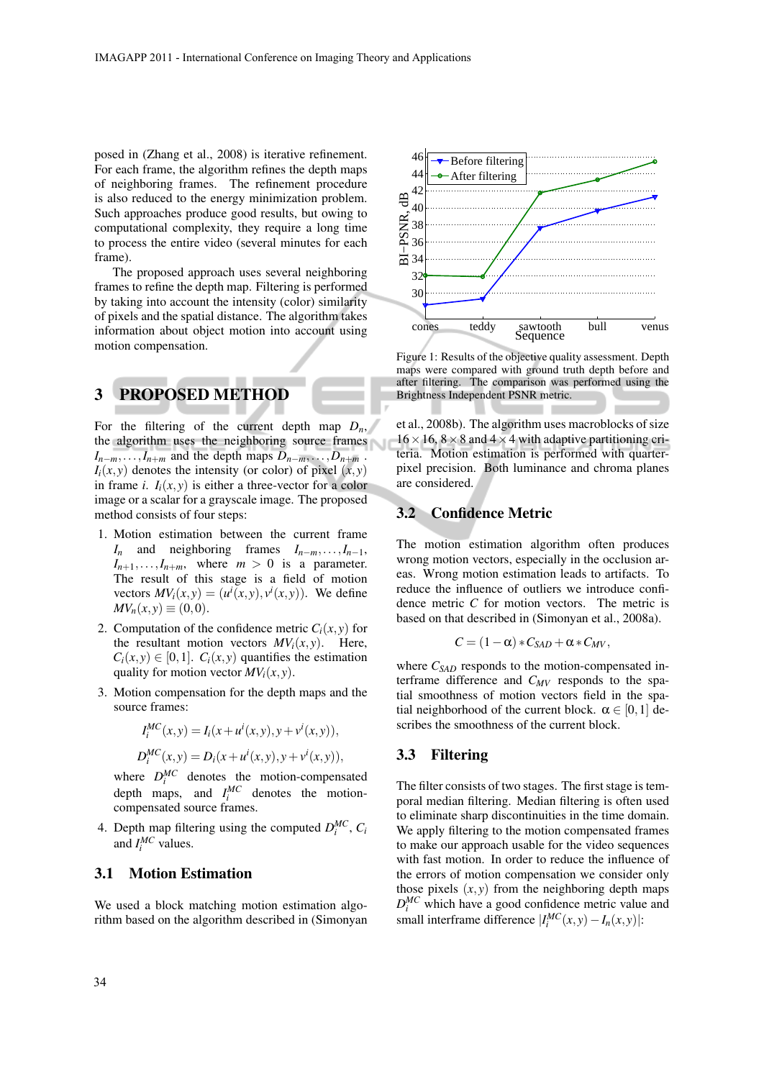posed in (Zhang et al., 2008) is iterative refinement. For each frame, the algorithm refines the depth maps of neighboring frames. The refinement procedure is also reduced to the energy minimization problem. Such approaches produce good results, but owing to computational complexity, they require a long time to process the entire video (several minutes for each frame).

The proposed approach uses several neighboring frames to refine the depth map. Filtering is performed by taking into account the intensity (color) similarity of pixels and the spatial distance. The algorithm takes information about object motion into account using motion compensation.

## 3 PROPOSED METHOD

For the filtering of the current depth map  $D_n$ , the algorithm uses the neighboring source frames  $I_{n-m}, \ldots, I_{n+m}$  and the depth maps  $D_{n-m}, \ldots, D_{n+m}$ .  $I_i(x, y)$  denotes the intensity (or color) of pixel  $(x, y)$ in frame *i*.  $I_i(x, y)$  is either a three-vector for a color image or a scalar for a grayscale image. The proposed method consists of four steps:

- 1. Motion estimation between the current frame *I<sup>n</sup>* and neighboring frames *In−m,...,In−*1,  $I_{n+1}, \ldots, I_{n+m}$ , where  $m > 0$  is a parameter. The result of this stage is a field of motion vectors  $MV_i(x, y) = (u^i(x, y), v^i(x, y))$ . We define  $MV_n(x, y) \equiv (0, 0).$
- 2. Computation of the confidence metric  $C_i(x, y)$  for the resultant motion vectors  $MV_i(x, y)$ . Here,  $C_i(x, y) \in [0, 1]$ .  $C_i(x, y)$  quantifies the estimation quality for motion vector  $MV_i(x, y)$ .
- 3. Motion compensation for the depth maps and the source frames:

$$
I_i^{MC}(x, y) = I_i(x + u^i(x, y), y + v^i(x, y)),
$$
  

$$
D_i^{MC}(x, y) = D_i(x + u^i(x, y), y + v^i(x, y)),
$$

where  $D_i^{MC}$  denotes the motion-compensated depth maps, and  $I_i^{MC}$  denotes the motioncompensated source frames.

4. Depth map filtering using the computed  $D_i^{MC}$ ,  $C_i$ and  $I_i^{MC}$  values.

#### 3.1 Motion Estimation

We used a block matching motion estimation algorithm based on the algorithm described in (Simonyan



Figure 1: Results of the objective quality assessment. Depth maps were compared with ground truth depth before and after filtering. The comparison was performed using the Brightness Independent PSNR metric.

et al., 2008b). The algorithm uses macroblocks of size  $16 \times 16$ ,  $8 \times 8$  and  $4 \times 4$  with adaptive partitioning criteria. Motion estimation is performed with quarterpixel precision. Both luminance and chroma planes are considered.

#### 3.2 Confidence Metric

The motion estimation algorithm often produces wrong motion vectors, especially in the occlusion areas. Wrong motion estimation leads to artifacts. To reduce the influence of outliers we introduce confidence metric *C* for motion vectors. The metric is based on that described in (Simonyan et al., 2008a).

$$
C = (1 - \alpha) * C_{SAD} + \alpha * C_{MV},
$$

where *CSAD* responds to the motion-compensated interframe difference and *CMV* responds to the spatial smoothness of motion vectors field in the spatial neighborhood of the current block.  $\alpha \in [0,1]$  describes the smoothness of the current block.

#### 3.3 Filtering

The filter consists of two stages. The first stage is temporal median filtering. Median filtering is often used to eliminate sharp discontinuities in the time domain. We apply filtering to the motion compensated frames to make our approach usable for the video sequences with fast motion. In order to reduce the influence of the errors of motion compensation we consider only those pixels  $(x, y)$  from the neighboring depth maps  $D_i^{MC}$  which have a good confidence metric value and small interframe difference  $|I_i^{MC}(x, y) - I_n(x, y)|$ :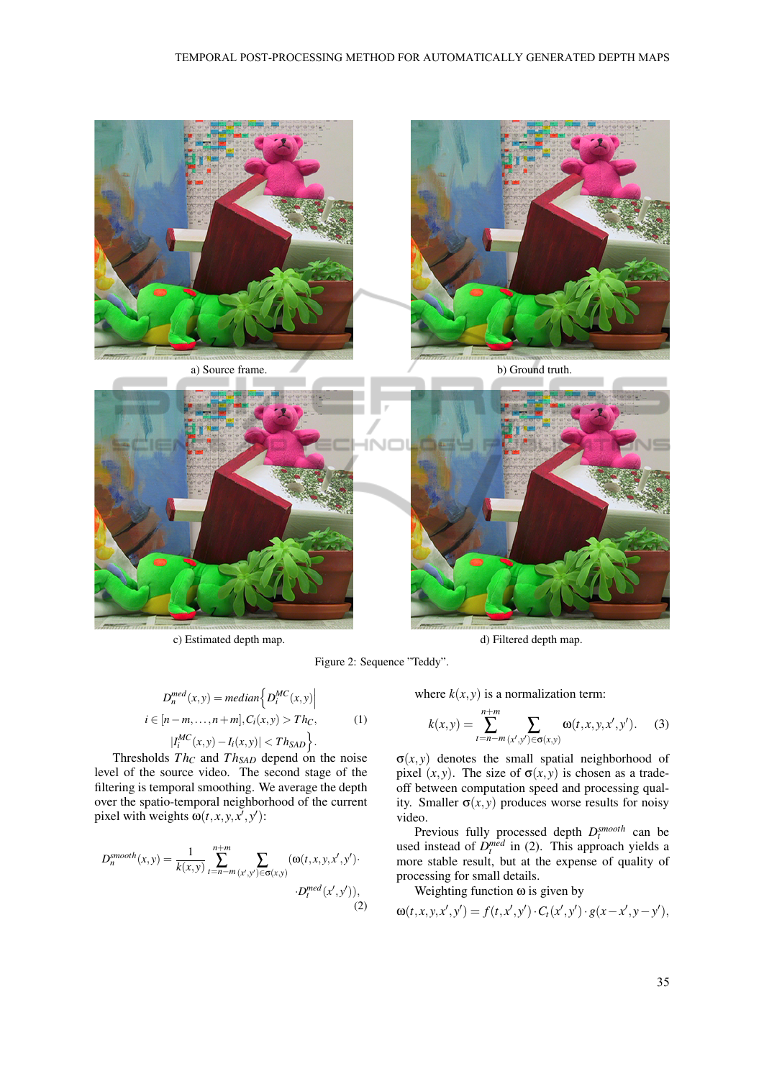

c) Estimated depth map.  $\qquad \qquad$  d) Filtered depth map.

Figure 2: Sequence "Teddy".

$$
D_n^{med}(x, y) = median\left\{D_i^{MC}(x, y)\middle|
$$
  

$$
i \in [n-m, \dots, n+m], C_i(x, y) > Th_C,
$$
  

$$
|I_i^{MC}(x, y) - I_i(x, y)| < Th_{SAD}\right\}.
$$
 (1)

Thresholds *T h<sup>C</sup>* and *T hSAD* depend on the noise level of the source video. The second stage of the filtering is temporal smoothing. We average the depth over the spatio-temporal neighborhood of the current pixel with weights  $\omega(t, x, y, x^{\prime}, y^{\prime})$ :

$$
D_n^{smooth}(x, y) = \frac{1}{k(x, y)} \sum_{t=n-m}^{n+m} \sum_{(x', y') \in \sigma(x, y)} (\omega(t, x, y, x', y').
$$
  
 
$$
\cdot D_t^{med}(x', y')),
$$
  
(2)

where  $k(x, y)$  is a normalization term:

*n*+*m*

$$
k(x,y) = \sum_{t=n-m}^{n+m} \sum_{(x',y') \in \sigma(x,y)} \omega(t,x,y,x',y').
$$
 (3)

 $\sigma(x, y)$  denotes the small spatial neighborhood of pixel  $(x, y)$ . The size of  $\sigma(x, y)$  is chosen as a tradeoff between computation speed and processing quality. Smaller  $\sigma(x, y)$  produces worse results for noisy video.

Previous fully processed depth  $D_t^{smooth}$  can be used instead of  $D_t^{med}$  in (2). This approach yields a more stable result, but at the expense of quality of processing for small details.

Weighting function  $\omega$  is given by

$$
\omega(t, x, y, x', y') = f(t, x', y') \cdot C_t(x', y') \cdot g(x - x', y - y'),
$$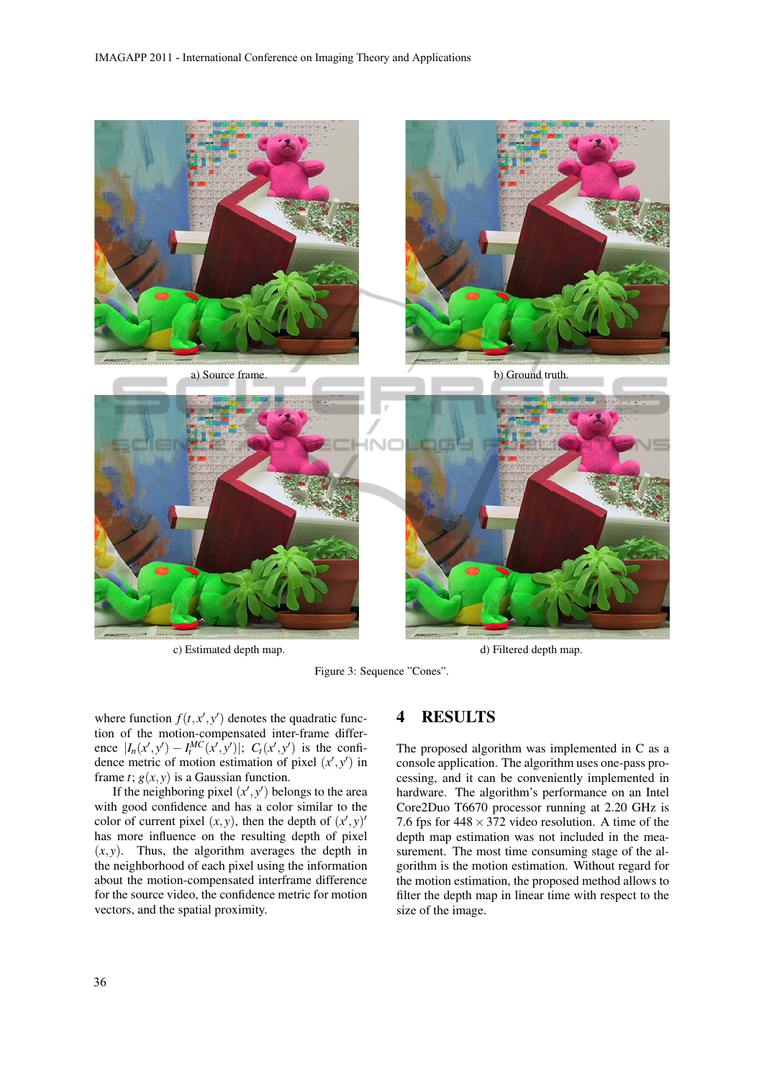

c) Estimated depth map.  $\Box$  d) Filtered depth map.

Figure 3: Sequence "Cones".

where function  $f(t, x', y')$  denotes the quadratic function of the motion-compensated inter-frame difference  $|I_n(x',y') - I_t^{MC}(x',y')|$ ;  $C_t(x',y')$  is the confidence metric of motion estimation of pixel  $(x', y')$  in frame *t*;  $g(x, y)$  is a Gaussian function.

If the neighboring pixel  $(x', y')$  belongs to the area with good confidence and has a color similar to the color of current pixel  $(x, y)$ , then the depth of  $(x', y)'$ has more influence on the resulting depth of pixel  $(x, y)$ . Thus, the algorithm averages the depth in the neighborhood of each pixel using the information about the motion-compensated interframe difference for the source video, the confidence metric for motion vectors, and the spatial proximity.

## 4 RESULTS

The proposed algorithm was implemented in C as a console application. The algorithm uses one-pass processing, and it can be conveniently implemented in hardware. The algorithm's performance on an Intel Core2Duo T6670 processor running at 2.20 GHz is 7.6 fps for 448*×*372 video resolution. A time of the depth map estimation was not included in the measurement. The most time consuming stage of the algorithm is the motion estimation. Without regard for the motion estimation, the proposed method allows to filter the depth map in linear time with respect to the size of the image.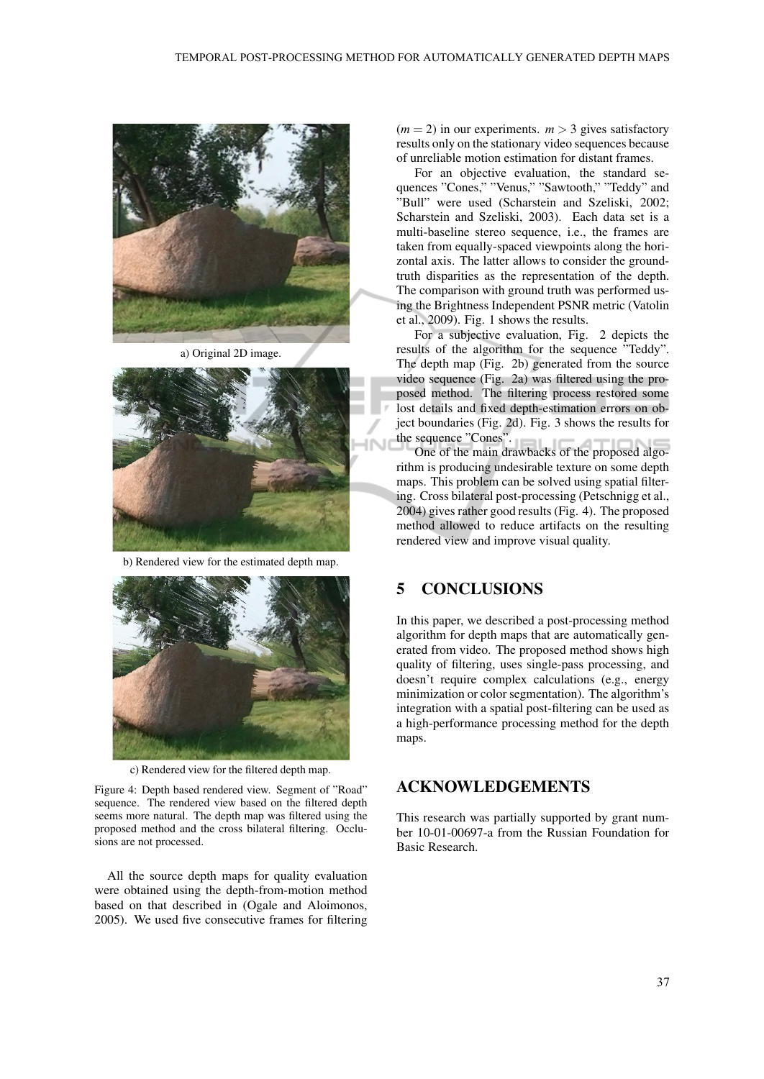

a) Original 2D image.



b) Rendered view for the estimated depth map.



c) Rendered view for the filtered depth map.

Figure 4: Depth based rendered view. Segment of "Road" sequence. The rendered view based on the filtered depth seems more natural. The depth map was filtered using the proposed method and the cross bilateral filtering. Occlusions are not processed.

All the source depth maps for quality evaluation were obtained using the depth-from-motion method based on that described in (Ogale and Aloimonos, 2005). We used five consecutive frames for filtering

 $(m = 2)$  in our experiments.  $m > 3$  gives satisfactory results only on the stationary video sequences because of unreliable motion estimation for distant frames.

For an objective evaluation, the standard sequences "Cones," "Venus," "Sawtooth," "Teddy" and "Bull" were used (Scharstein and Szeliski, 2002; Scharstein and Szeliski, 2003). Each data set is a multi-baseline stereo sequence, i.e., the frames are taken from equally-spaced viewpoints along the horizontal axis. The latter allows to consider the groundtruth disparities as the representation of the depth. The comparison with ground truth was performed using the Brightness Independent PSNR metric (Vatolin et al., 2009). Fig. 1 shows the results.

For a subjective evaluation, Fig. 2 depicts the results of the algorithm for the sequence "Teddy". The depth map (Fig. 2b) generated from the source video sequence (Fig. 2a) was filtered using the proposed method. The filtering process restored some lost details and fixed depth-estimation errors on object boundaries (Fig. 2d). Fig. 3 shows the results for the sequence "Cones".

One of the main drawbacks of the proposed algorithm is producing undesirable texture on some depth maps. This problem can be solved using spatial filtering. Cross bilateral post-processing (Petschnigg et al., 2004) gives rather good results (Fig. 4). The proposed method allowed to reduce artifacts on the resulting rendered view and improve visual quality.

### 5 CONCLUSIONS

In this paper, we described a post-processing method algorithm for depth maps that are automatically generated from video. The proposed method shows high quality of filtering, uses single-pass processing, and doesn't require complex calculations (e.g., energy minimization or color segmentation). The algorithm's integration with a spatial post-filtering can be used as a high-performance processing method for the depth maps.

#### ACKNOWLEDGEMENTS

This research was partially supported by grant number 10-01-00697-a from the Russian Foundation for Basic Research.